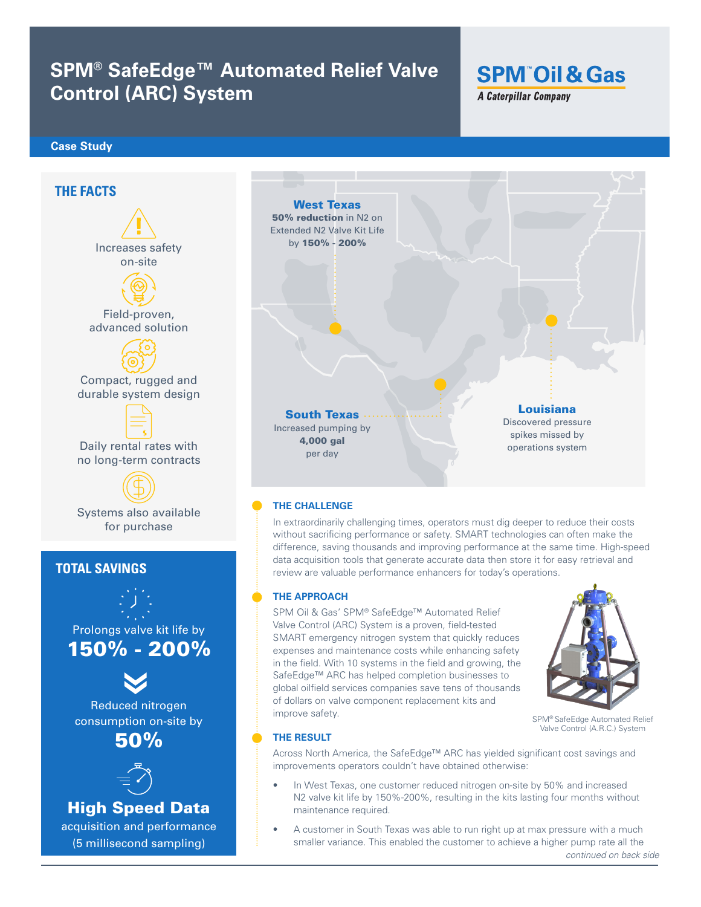## **SPM® SafeEdge™ Automated Relief Valve Control (ARC) System**

# **SPM Oil & Gas**

**A Caterpillar Company** 

#### **Case Study**



smaller variance. This enabled the customer to achieve a higher pump rate all the

*continued on back side*

(5 millisecond sampling)